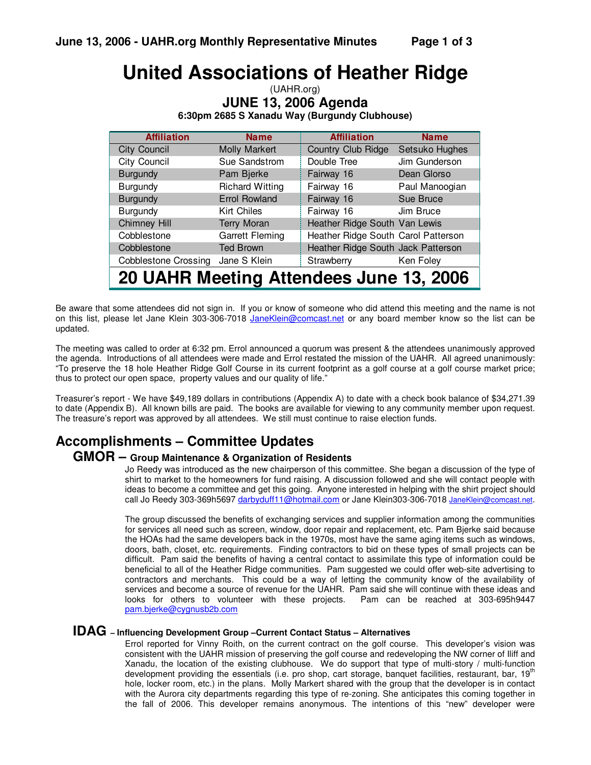# **United Associations of Heather Ridge**

| (UAHR.org)                                    |  |  |  |  |
|-----------------------------------------------|--|--|--|--|
| <b>JUNE 13, 2006 Agenda</b>                   |  |  |  |  |
| 6:30pm 2685 S Xanadu Way (Burgundy Clubhouse) |  |  |  |  |

| <b>Affiliation</b>                      | <b>Name</b>            | <b>Affiliation</b>                  | <b>Name</b>    |
|-----------------------------------------|------------------------|-------------------------------------|----------------|
| <b>City Council</b>                     | Molly Markert          | Country Club Ridge                  | Setsuko Hughes |
| City Council                            | Sue Sandstrom          | Double Tree                         | Jim Gunderson  |
| <b>Burgundy</b>                         | Pam Bjerke             | Fairway 16                          | Dean Glorso    |
| <b>Burgundy</b>                         | <b>Richard Witting</b> | Fairway 16                          | Paul Manoogian |
| <b>Burgundy</b>                         | <b>Errol Rowland</b>   | Fairway 16                          | Sue Bruce      |
| Burgundy                                | <b>Kirt Chiles</b>     | Fairway 16                          | Jim Bruce      |
| <b>Chimney Hill</b>                     | <b>Terry Moran</b>     | Heather Ridge South Van Lewis       |                |
| Cobblestone                             | <b>Garrett Fleming</b> | Heather Ridge South Carol Patterson |                |
| Cobblestone                             | <b>Ted Brown</b>       | Heather Ridge South Jack Patterson  |                |
| <b>Cobblestone Crossing</b>             | Jane S Klein           | Strawberry                          | Ken Foley      |
| 20 UAHR Meeting Attendees June 13, 2006 |                        |                                     |                |

Be aware that some attendees did not sign in. If you or know of someone who did attend this meeting and the name is not on this list, please let Jane Klein 303-306-7018 JaneKlein@comcast.net or any board member know so the list can be updated.

The meeting was called to order at 6:32 pm. Errol announced a quorum was present & the attendees unanimously approved the agenda. Introductions of all attendees were made and Errol restated the mission of the UAHR. All agreed unanimously: "To preserve the 18 hole Heather Ridge Golf Course in its current footprint as a golf course at a golf course market price; thus to protect our open space, property values and our quality of life."

Treasurer's report - We have \$49,189 dollars in contributions (Appendix A) to date with a check book balance of \$34,271.39 to date (Appendix B). All known bills are paid. The books are available for viewing to any community member upon request. The treasure's report was approved by all attendees. We still must continue to raise election funds.

## **Accomplishments – Committee Updates**

#### **GMOR – Group Maintenance & Organization of Residents**

Jo Reedy was introduced as the new chairperson of this committee. She began a discussion of the type of shirt to market to the homeowners for fund raising. A discussion followed and she will contact people with ideas to become a committee and get this going. Anyone interested in helping with the shirt project should call Jo Reedy 303-369h5697 darbyduff11@hotmail.com or Jane Klein303-306-7018 JaneKlein@comcast.net.

The group discussed the benefits of exchanging services and supplier information among the communities for services all need such as screen, window, door repair and replacement, etc. Pam Bjerke said because the HOAs had the same developers back in the 1970s, most have the same aging items such as windows, doors, bath, closet, etc. requirements. Finding contractors to bid on these types of small projects can be difficult. Pam said the benefits of having a central contact to assimilate this type of information could be beneficial to all of the Heather Ridge communities. Pam suggested we could offer web-site advertising to contractors and merchants. This could be a way of letting the community know of the availability of services and become a source of revenue for the UAHR. Pam said she will continue with these ideas and looks for others to volunteer with these projects. Pam can be reached at 303-695h9447 pam.bjerke@cygnusb2b.com

#### **IDAG – Influencing Development Group –Current Contact Status – Alternatives**

Errol reported for Vinny Roith, on the current contract on the golf course. This developer's vision was consistent with the UAHR mission of preserving the golf course and redeveloping the NW corner of Iliff and Xanadu, the location of the existing clubhouse. We do support that type of multi-story / multi-function development providing the essentials (i.e. pro shop, cart storage, banquet facilities, restaurant, bar, 19<sup>th</sup> hole, locker room, etc.) in the plans. Molly Markert shared with the group that the developer is in contact with the Aurora city departments regarding this type of re-zoning. She anticipates this coming together in the fall of 2006. This developer remains anonymous. The intentions of this "new" developer were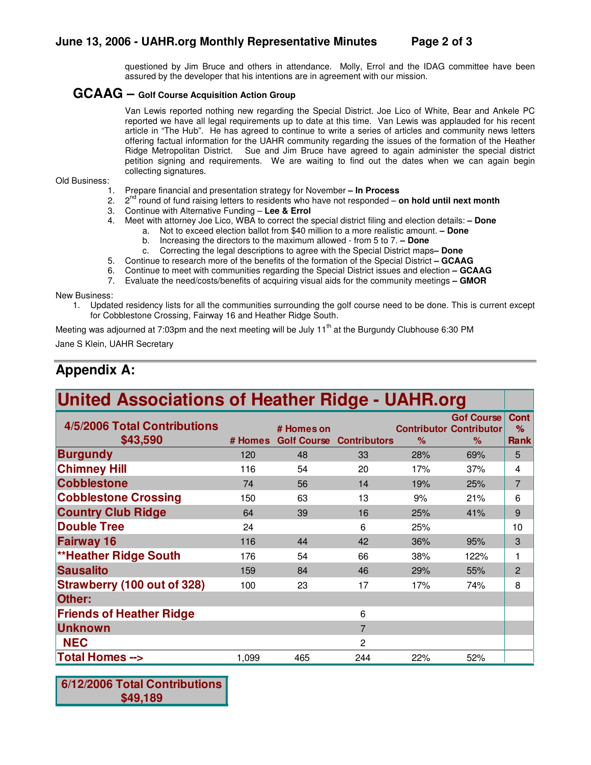questioned by Jim Bruce and others in attendance. Molly, Errol and the IDAG committee have been assured by the developer that his intentions are in agreement with our mission.

#### **GCAAG – Golf Course Acquisition Action Group**

Van Lewis reported nothing new regarding the Special District. Joe Lico of White, Bear and Ankele PC reported we have all legal requirements up to date at this time. Van Lewis was applauded for his recent article in "The Hub". He has agreed to continue to write a series of articles and community news letters offering factual information for the UAHR community regarding the issues of the formation of the Heather Ridge Metropolitan District. Sue and Jim Bruce have agreed to again administer the special district petition signing and requirements. We are waiting to find out the dates when we can again begin collecting signatures.

Old Business:

- 1. Prepare financial and presentation strategy for November **– In Process**
- 2. 2 nd round of fund raising letters to residents who have not responded – **on hold until next month**
- 3. Continue with Alternative Funding **Lee & Errol**
- 4. Meet with attorney Joe Lico, WBA to correct the special district filing and election details: **– Done**
	- a. Not to exceed election ballot from \$40 million to a more realistic amount. **– Done**
		- b. Increasing the directors to the maximum allowed from 5 to 7. **– Done**
	- c. Correcting the legal descriptions to agree with the Special District maps**– Done**
- 5. Continue to research more of the benefits of the formation of the Special District **– GCAAG**
- 6. Continue to meet with communities regarding the Special District issues and election **– GCAAG**
- 7. Evaluate the need/costs/benefits of acquiring visual aids for the community meetings **– GMOR**

New Business:

1. Updated residency lists for all the communities surrounding the golf course need to be done. This is current except for Cobblestone Crossing, Fairway 16 and Heather Ridge South.

Meeting was adjourned at 7:03pm and the next meeting will be July 11<sup>th</sup> at the Burgundy Clubhouse 6:30 PM Jane S Klein, UAHR Secretary

### **Appendix A:**

| <b>United Associations of Heather Ridge - UAHR.org</b> |         |                                  |                     |      |                                                          |                          |
|--------------------------------------------------------|---------|----------------------------------|---------------------|------|----------------------------------------------------------|--------------------------|
| 4/5/2006 Total Contributions<br>\$43,590               | # Homes | # Homes on<br><b>Golf Course</b> | <b>Contributors</b> | $\%$ | <b>Gof Course</b><br><b>Contributor Contributor</b><br>% | <b>Cont</b><br>%<br>Rank |
| <b>Burgundy</b>                                        | 120     | 48                               | 33                  | 28%  | 69%                                                      | 5                        |
| <b>Chimney Hill</b>                                    | 116     | 54                               | 20                  | 17%  | 37%                                                      | 4                        |
| <b>Cobblestone</b>                                     | 74      | 56                               | 14                  | 19%  | 25%                                                      | $\overline{7}$           |
| <b>Cobblestone Crossing</b>                            | 150     | 63                               | 13                  | 9%   | 21%                                                      | 6                        |
| <b>Country Club Ridge</b>                              | 64      | 39                               | 16                  | 25%  | 41%                                                      | 9                        |
| <b>Double Tree</b>                                     | 24      |                                  | 6                   | 25%  |                                                          | 10                       |
| <b>Fairway 16</b>                                      | 116     | 44                               | 42                  | 36%  | 95%                                                      | 3                        |
| <b>**Heather Ridge South</b>                           | 176     | 54                               | 66                  | 38%  | 122%                                                     |                          |
| <b>Sausalito</b>                                       | 159     | 84                               | 46                  | 29%  | 55%                                                      | 2                        |
| <b>Strawberry (100 out of 328)</b>                     | 100     | 23                               | 17                  | 17%  | 74%                                                      | 8                        |
| Other:                                                 |         |                                  |                     |      |                                                          |                          |
| <b>Friends of Heather Ridge</b>                        |         |                                  | 6                   |      |                                                          |                          |
| <b>Unknown</b>                                         |         |                                  | $\overline{7}$      |      |                                                          |                          |
| <b>NEC</b>                                             |         |                                  | $\overline{2}$      |      |                                                          |                          |
| <b>Total Homes --&gt;</b>                              | 1,099   | 465                              | 244                 | 22%  | 52%                                                      |                          |

**6/12/2006 Total Contributions \$49,189**